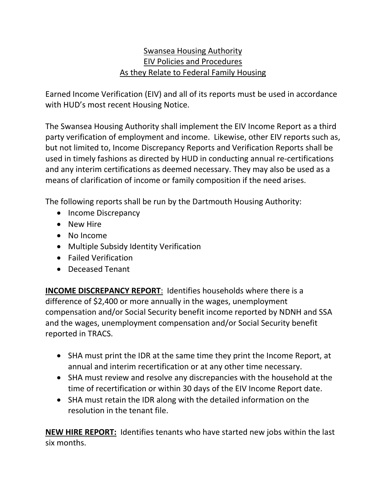#### Swansea Housing Authority EIV Policies and Procedures As they Relate to Federal Family Housing

Earned Income Verification (EIV) and all of its reports must be used in accordance with HUD's most recent Housing Notice.

The Swansea Housing Authority shall implement the EIV Income Report as a third party verification of employment and income. Likewise, other EIV reports such as, but not limited to, Income Discrepancy Reports and Verification Reports shall be used in timely fashions as directed by HUD in conducting annual re-certifications and any interim certifications as deemed necessary. They may also be used as a means of clarification of income or family composition if the need arises.

The following reports shall be run by the Dartmouth Housing Authority:

- Income Discrepancy
- New Hire
- No Income
- Multiple Subsidy Identity Verification
- Failed Verification
- Deceased Tenant

**INCOME DISCREPANCY REPORT**: Identifies households where there is a difference of \$2,400 or more annually in the wages, unemployment compensation and/or Social Security benefit income reported by NDNH and SSA and the wages, unemployment compensation and/or Social Security benefit reported in TRACS.

- SHA must print the IDR at the same time they print the Income Report, at annual and interim recertification or at any other time necessary.
- SHA must review and resolve any discrepancies with the household at the time of recertification or within 30 days of the EIV Income Report date.
- SHA must retain the IDR along with the detailed information on the resolution in the tenant file.

**NEW HIRE REPORT:** Identifies tenants who have started new jobs within the last six months.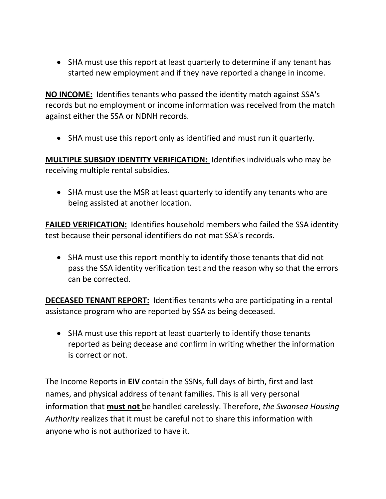SHA must use this report at least quarterly to determine if any tenant has started new employment and if they have reported a change in income.

**NO INCOME:** Identifies tenants who passed the identity match against SSA's records but no employment or income information was received from the match against either the SSA or NDNH records.

SHA must use this report only as identified and must run it quarterly.

**MULTIPLE SUBSIDY IDENTITY VERIFICATION:** Identifies individuals who may be receiving multiple rental subsidies.

• SHA must use the MSR at least quarterly to identify any tenants who are being assisted at another location.

**FAILED VERIFICATION:** Identifies household members who failed the SSA identity test because their personal identifiers do not mat SSA's records.

 SHA must use this report monthly to identify those tenants that did not pass the SSA identity verification test and the reason why so that the errors can be corrected.

**DECEASED TENANT REPORT:** Identifies tenants who are participating in a rental assistance program who are reported by SSA as being deceased.

 SHA must use this report at least quarterly to identify those tenants reported as being decease and confirm in writing whether the information is correct or not.

The Income Reports in **EIV** contain the SSNs, full days of birth, first and last names, and physical address of tenant families. This is all very personal information that **must not** be handled carelessly. Therefore, *the Swansea Housing Authority* realizes that it must be careful not to share this information with anyone who is not authorized to have it.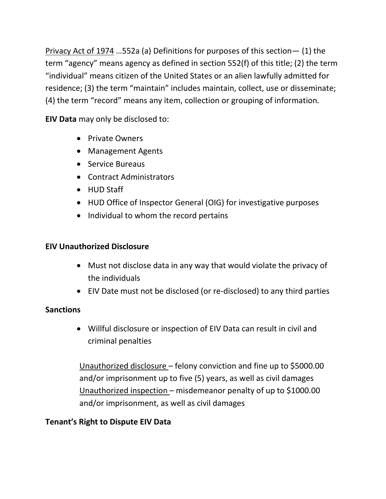Privacy Act of 1974 …552a (a) Definitions for purposes of this section— (1) the term "agency" means agency as defined in section 552(f) of this title; (2) the term "individual" means citizen of the United States or an alien lawfully admitted for residence; (3) the term "maintain" includes maintain, collect, use or disseminate; (4) the term "record" means any item, collection or grouping of information.

**EIV Data** may only be disclosed to:

- Private Owners
- Management Agents
- Service Bureaus
- Contract Administrators
- HUD Staff
- HUD Office of Inspector General (OIG) for investigative purposes
- Individual to whom the record pertains

# **EIV Unauthorized Disclosure**

- Must not disclose data in any way that would violate the privacy of the individuals
- EIV Date must not be disclosed (or re-disclosed) to any third parties

## **Sanctions**

 Willful disclosure or inspection of EIV Data can result in civil and criminal penalties

Unauthorized disclosure – felony conviction and fine up to \$5000.00 and/or imprisonment up to five (5) years, as well as civil damages Unauthorized inspection – misdemeanor penalty of up to \$1000.00 and/or imprisonment, as well as civil damages

# **Tenant's Right to Dispute EIV Data**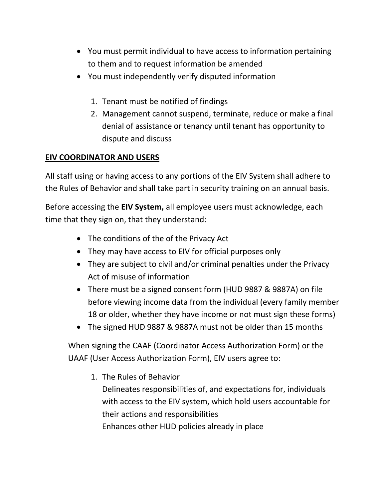- You must permit individual to have access to information pertaining to them and to request information be amended
- You must independently verify disputed information
	- 1. Tenant must be notified of findings
	- 2. Management cannot suspend, terminate, reduce or make a final denial of assistance or tenancy until tenant has opportunity to dispute and discuss

## **EIV COORDINATOR AND USERS**

All staff using or having access to any portions of the EIV System shall adhere to the Rules of Behavior and shall take part in security training on an annual basis.

Before accessing the **EIV System,** all employee users must acknowledge, each time that they sign on, that they understand:

- The conditions of the of the Privacy Act
- They may have access to EIV for official purposes only
- They are subject to civil and/or criminal penalties under the Privacy Act of misuse of information
- There must be a signed consent form (HUD 9887 & 9887A) on file before viewing income data from the individual (every family member 18 or older, whether they have income or not must sign these forms)
- The signed HUD 9887 & 9887A must not be older than 15 months

When signing the CAAF (Coordinator Access Authorization Form) or the UAAF (User Access Authorization Form), EIV users agree to:

1. The Rules of Behavior

Delineates responsibilities of, and expectations for, individuals with access to the EIV system, which hold users accountable for their actions and responsibilities Enhances other HUD policies already in place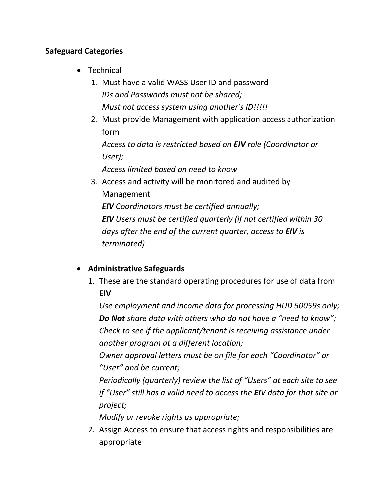#### **Safeguard Categories**

- Technical
	- 1. Must have a valid WASS User ID and password *IDs and Passwords must not be shared; Must not access system using another's ID!!!!!*
	- 2. Must provide Management with application access authorization form

*Access to data is restricted based on EIV role (Coordinator or User);*

*Access limited based on need to know*

3. Access and activity will be monitored and audited by Management *EIV Coordinators must be certified annually; EIV Users must be certified quarterly (if not certified within 30 days after the end of the current quarter, access to EIV is terminated)*

## **Administrative Safeguards**

1. These are the standard operating procedures for use of data from **EIV**

*Use employment and income data for processing HUD 50059s only; Do Not share data with others who do not have a "need to know"; Check to see if the applicant/tenant is receiving assistance under another program at a different location;*

*Owner approval letters must be on file for each "Coordinator" or "User" and be current;*

*Periodically (quarterly) review the list of "Users" at each site to see if "User" still has a valid need to access the EIV data for that site or project;*

*Modify or revoke rights as appropriate;*

2. Assign Access to ensure that access rights and responsibilities are appropriate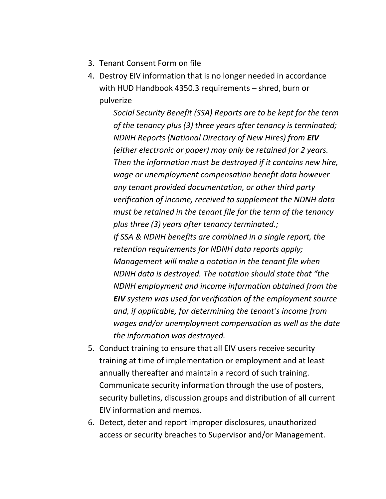- 3. Tenant Consent Form on file
- 4. Destroy EIV information that is no longer needed in accordance with HUD Handbook 4350.3 requirements – shred, burn or pulverize

*Social Security Benefit (SSA) Reports are to be kept for the term of the tenancy plus (3) three years after tenancy is terminated; NDNH Reports (National Directory of New Hires) from EIV (either electronic or paper) may only be retained for 2 years. Then the information must be destroyed if it contains new hire, wage or unemployment compensation benefit data however any tenant provided documentation, or other third party verification of income, received to supplement the NDNH data must be retained in the tenant file for the term of the tenancy plus three (3) years after tenancy terminated.; If SSA & NDNH benefits are combined in a single report, the retention requirements for NDNH data reports apply; Management will make a notation in the tenant file when NDNH data is destroyed. The notation should state that "the NDNH employment and income information obtained from the EIV system was used for verification of the employment source and, if applicable, for determining the tenant's income from wages and/or unemployment compensation as well as the date the information was destroyed.* 

- 5. Conduct training to ensure that all EIV users receive security training at time of implementation or employment and at least annually thereafter and maintain a record of such training. Communicate security information through the use of posters, security bulletins, discussion groups and distribution of all current EIV information and memos.
- 6. Detect, deter and report improper disclosures, unauthorized access or security breaches to Supervisor and/or Management.